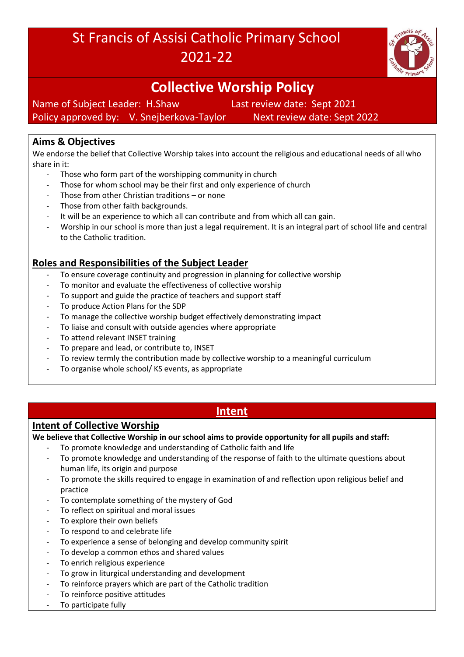# St Francis of Assisi Catholic Primary School 2021-22



# **Collective Worship Policy**

Name of Subject Leader: H.Shaw Last review date: Sept 2021 Policy approved by: V. Snejberkova-Taylor Next review date: Sept 2022

## **Aims & Objectives**

We endorse the belief that Collective Worship takes into account the religious and educational needs of all who share in it:

- Those who form part of the worshipping community in church
- Those for whom school may be their first and only experience of church
- Those from other Christian traditions or none
- Those from other faith backgrounds.
- It will be an experience to which all can contribute and from which all can gain.
- Worship in our school is more than just a legal requirement. It is an integral part of school life and central to the Catholic tradition.

## **Roles and Responsibilities of the Subject Leader**

- To ensure coverage continuity and progression in planning for collective worship
- To monitor and evaluate the effectiveness of collective worship
- To support and guide the practice of teachers and support staff
- To produce Action Plans for the SDP
- To manage the collective worship budget effectively demonstrating impact
- To liaise and consult with outside agencies where appropriate
- To attend relevant INSET training
- To prepare and lead, or contribute to, INSET
- To review termly the contribution made by collective worship to a meaningful curriculum
- To organise whole school/KS events, as appropriate

## **Intent**

## **Intent of Collective Worship**

**We believe that Collective Worship in our school aims to provide opportunity for all pupils and staff:**

- To promote knowledge and understanding of Catholic faith and life
- To promote knowledge and understanding of the response of faith to the ultimate questions about human life, its origin and purpose
- To promote the skills required to engage in examination of and reflection upon religious belief and practice
- To contemplate something of the mystery of God
- To reflect on spiritual and moral issues
- To explore their own beliefs
- To respond to and celebrate life
- To experience a sense of belonging and develop community spirit
- To develop a common ethos and shared values
- To enrich religious experience
- To grow in liturgical understanding and development
- To reinforce prayers which are part of the Catholic tradition
- To reinforce positive attitudes
- To participate fully